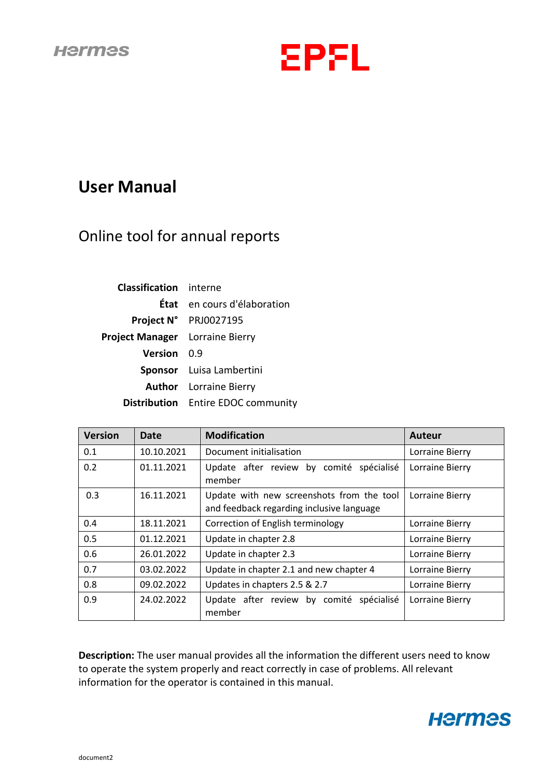

# **User Manual**

# Online tool for annual reports

| <b>Classification</b> interne          |                                    |
|----------------------------------------|------------------------------------|
|                                        | <b>État</b> en cours d'élaboration |
|                                        | Project N° PRJ0027195              |
| <b>Project Manager</b> Lorraine Bierry |                                    |
| <b>Version</b> 0.9                     |                                    |
|                                        | Sponsor Luisa Lambertini           |
|                                        | <b>Author</b> Lorraine Bierry      |
|                                        | Distribution Entire EDOC community |

| <b>Version</b> | <b>Date</b> | <b>Modification</b>                                                                    | <b>Auteur</b>   |  |
|----------------|-------------|----------------------------------------------------------------------------------------|-----------------|--|
| 0.1            | 10.10.2021  | Document initialisation                                                                | Lorraine Bierry |  |
| 0.2            | 01.11.2021  | Update after review by comité spécialisé<br>member                                     | Lorraine Bierry |  |
| 0.3            | 16.11.2021  | Update with new screenshots from the tool<br>and feedback regarding inclusive language | Lorraine Bierry |  |
| 0.4            | 18.11.2021  | Correction of English terminology                                                      | Lorraine Bierry |  |
| 0.5            | 01.12.2021  | Update in chapter 2.8                                                                  | Lorraine Bierry |  |
| 0.6            | 26.01.2022  | Update in chapter 2.3<br>Lorraine Bierry                                               |                 |  |
| 0.7            | 03.02.2022  | Update in chapter 2.1 and new chapter 4<br>Lorraine Bierry                             |                 |  |
| 0.8            | 09.02.2022  | Updates in chapters 2.5 & 2.7                                                          | Lorraine Bierry |  |
| 0.9            | 24.02.2022  | Update after review by comité spécialisé<br>member                                     | Lorraine Bierry |  |

**Description:** The user manual provides all the information the different users need to know to operate the system properly and react correctly in case of problems. All relevant information for the operator is contained in this manual.

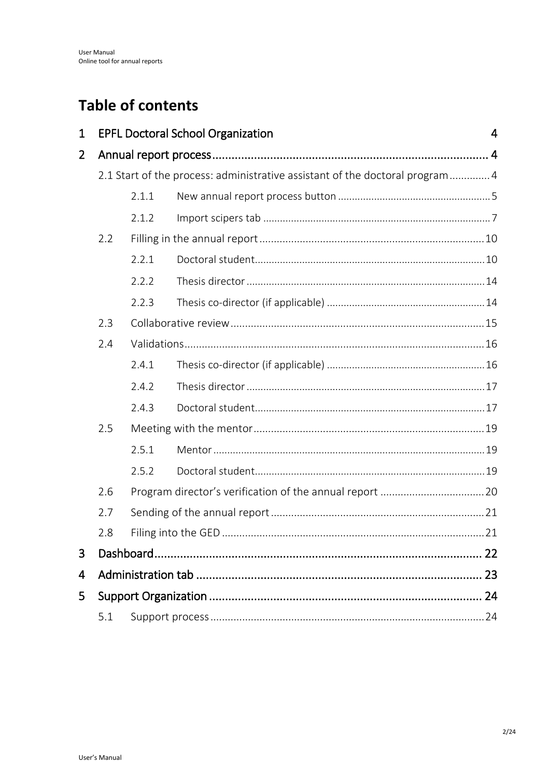# **Table of contents**

| $\mathbf 1$    |     |       | <b>EPFL Doctoral School Organization</b>                                     | 4  |  |
|----------------|-----|-------|------------------------------------------------------------------------------|----|--|
| $\overline{2}$ |     |       |                                                                              |    |  |
|                |     |       | 2.1 Start of the process: administrative assistant of the doctoral program 4 |    |  |
|                |     | 2.1.1 |                                                                              |    |  |
|                |     | 2.1.2 |                                                                              |    |  |
|                | 2.2 |       |                                                                              |    |  |
|                |     | 2.2.1 |                                                                              |    |  |
|                |     | 2.2.2 |                                                                              |    |  |
|                |     | 2.2.3 |                                                                              |    |  |
|                | 2.3 |       |                                                                              |    |  |
|                | 2.4 |       |                                                                              |    |  |
|                |     | 2.4.1 |                                                                              |    |  |
|                |     | 2.4.2 |                                                                              |    |  |
|                |     | 2.4.3 |                                                                              |    |  |
|                | 2.5 |       |                                                                              |    |  |
|                |     | 2.5.1 |                                                                              |    |  |
|                |     | 2.5.2 |                                                                              |    |  |
|                | 2.6 |       |                                                                              |    |  |
|                | 2.7 |       |                                                                              |    |  |
|                | 2.8 |       |                                                                              |    |  |
| 3              |     |       |                                                                              | 22 |  |
| 4              |     |       |                                                                              |    |  |
| 5              |     |       |                                                                              |    |  |
|                | 5.1 |       |                                                                              |    |  |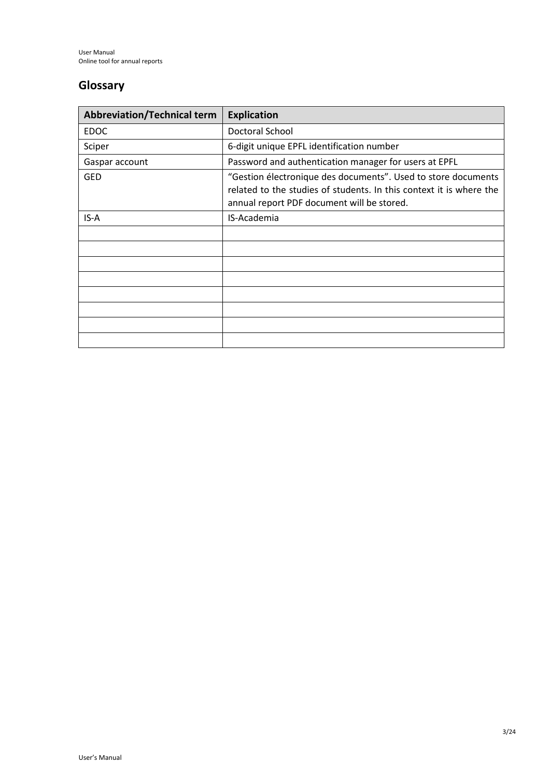## **Glossary**

| <b>Abbreviation/Technical term</b> | <b>Explication</b>                                                                                                                                                                 |
|------------------------------------|------------------------------------------------------------------------------------------------------------------------------------------------------------------------------------|
| <b>EDOC</b>                        | Doctoral School                                                                                                                                                                    |
| Sciper                             | 6-digit unique EPFL identification number                                                                                                                                          |
| Gaspar account                     | Password and authentication manager for users at EPFL                                                                                                                              |
| <b>GED</b>                         | "Gestion électronique des documents". Used to store documents<br>related to the studies of students. In this context it is where the<br>annual report PDF document will be stored. |
| IS-A                               | IS-Academia                                                                                                                                                                        |
|                                    |                                                                                                                                                                                    |
|                                    |                                                                                                                                                                                    |
|                                    |                                                                                                                                                                                    |
|                                    |                                                                                                                                                                                    |
|                                    |                                                                                                                                                                                    |
|                                    |                                                                                                                                                                                    |
|                                    |                                                                                                                                                                                    |
|                                    |                                                                                                                                                                                    |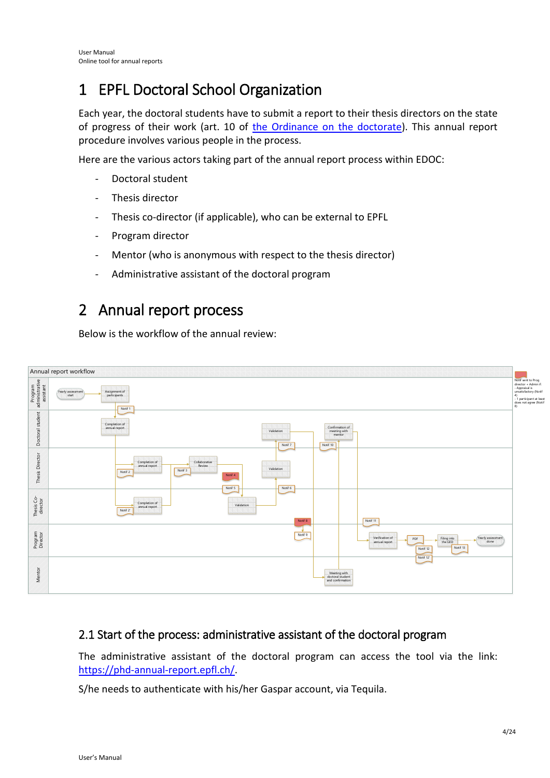# <span id="page-3-0"></span>1 EPFL Doctoral School Organization

Each year, the doctoral students have to submit a report to their thesis directors on the state of progress of their work (art. 10 of [the Ordinance on the doctorate\)](https://www.epfl.ch/education/phd/regulations/). This annual report procedure involves various people in the process.

Here are the various actors taking part of the annual report process within EDOC:

- Doctoral student
- Thesis director
- Thesis co-director (if applicable), who can be external to EPFL
- Program director
- Mentor (who is anonymous with respect to the thesis director)
- Administrative assistant of the doctoral program

## <span id="page-3-1"></span>2 Annual report process

Below is the workflow of the annual review:



### <span id="page-3-2"></span>2.1 Start of the process: administrative assistant of the doctoral program

The administrative assistant of the doctoral program can access the tool via the link: [https://phd-annual-report.epfl.ch/.](https://phd-annual-report.epfl.ch/)

S/he needs to authenticate with his/her Gaspar account, via Tequila.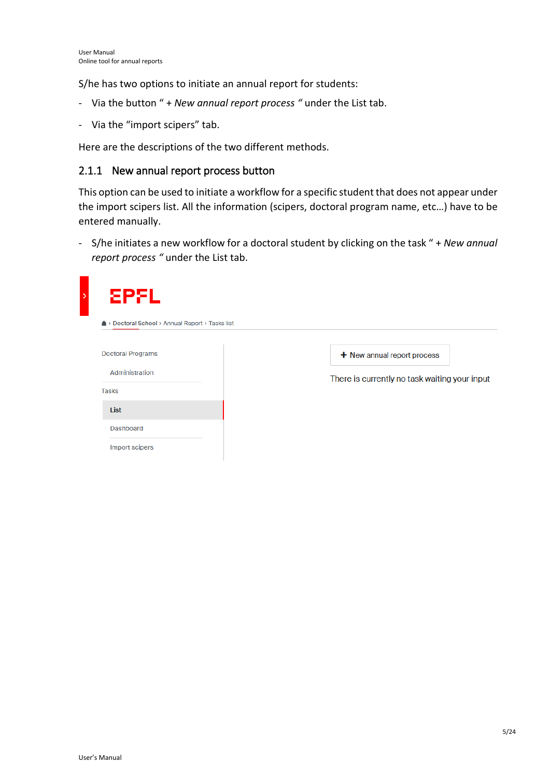S/he has two options to initiate an annual report for students:

- Via the button " + *New annual report process "* under the List tab.
- Via the "import scipers" tab.

Here are the descriptions of the two different methods.

### <span id="page-4-0"></span>2.1.1 New annual report process button

This option can be used to initiate a workflow for a specific student that does not appear under the import scipers list. All the information (scipers, doctoral program name, etc…) have to be entered manually.

- S/he initiates a new workflow for a doctoral student by clicking on the task " + *New annual report process "* under the List tab.

| <b>Annual Report</b> > Tasks list > Doctoral School > Annual Report > Tasks list |                                               |
|----------------------------------------------------------------------------------|-----------------------------------------------|
| <b>Doctoral Programs</b>                                                         | $+$ New annual report process                 |
| Administration<br><b>Tasks</b>                                                   | There is currently no task waiting your input |
| List                                                                             |                                               |
| Dashboard                                                                        |                                               |
| Import scipers                                                                   |                                               |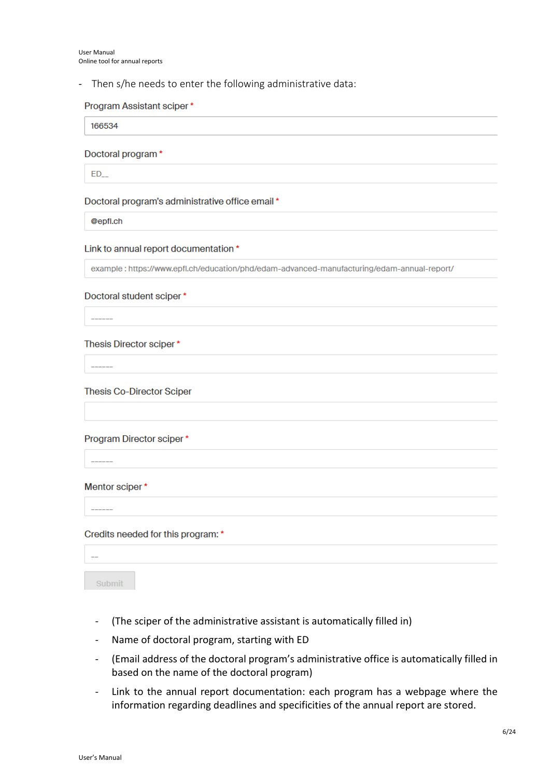#### - Then s/he needs to enter the following administrative data:

#### Program Assistant sciper\*

166534

#### Doctoral program\*

 $ED$ 

#### Doctoral program's administrative office email \*

@epfl.ch

#### Link to annual report documentation \*

example: https://www.epfl.ch/education/phd/edam-advanced-manufacturing/edam-annual-report/

#### Doctoral student sciper\*

#### Thesis Director sciper\*

#### **Thesis Co-Director Sciper**

#### Program Director sciper\*

#### Mentor sciper\*

 $\overline{\phantom{a}}$ 

#### Credits needed for this program: \*

Submit

- (The sciper of the administrative assistant is automatically filled in)
- Name of doctoral program, starting with ED
- (Email address of the doctoral program's administrative office is automatically filled in based on the name of the doctoral program)
- Link to the annual report documentation: each program has a webpage where the information regarding deadlines and specificities of the annual report are stored.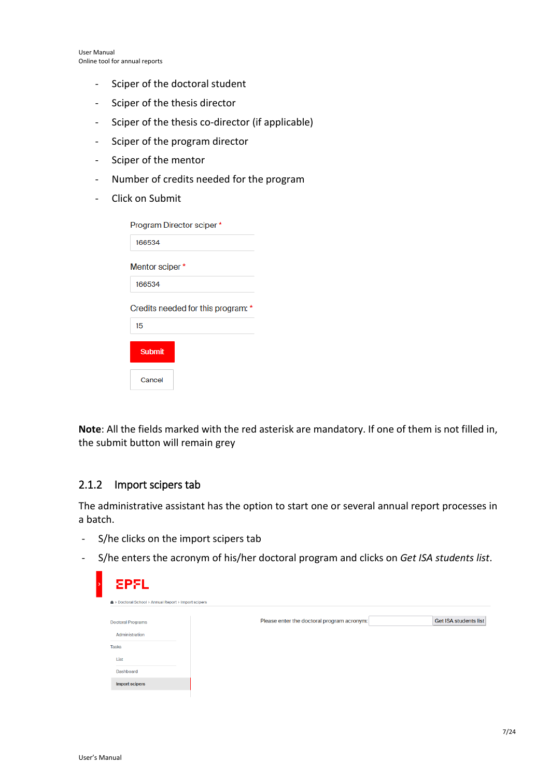- Sciper of the doctoral student
- Sciper of the thesis director
- Sciper of the thesis co-director (if applicable)
- Sciper of the program director
- Sciper of the mentor
- Number of credits needed for the program
- Click on Submit

| Program Director sciper *          |
|------------------------------------|
| 166534                             |
| Mentor sciper*                     |
| 166534                             |
| Credits needed for this program: * |
| 15                                 |
| <b>Submit</b>                      |
| Cancel                             |

**Note**: All the fields marked with the red asterisk are mandatory. If one of them is not filled in, the submit button will remain grey

### <span id="page-6-0"></span>2.1.2 Import scipers tab

The administrative assistant has the option to start one or several annual report processes in a batch.

- S/he clicks on the import scipers tab
- S/he enters the acronym of his/her doctoral program and clicks on *Get ISA students list*.

| Please enter the doctoral program acronym: | <b>Get ISA students list</b> |
|--------------------------------------------|------------------------------|
|                                            |                              |
|                                            |                              |
|                                            |                              |
|                                            |                              |
|                                            |                              |
|                                            |                              |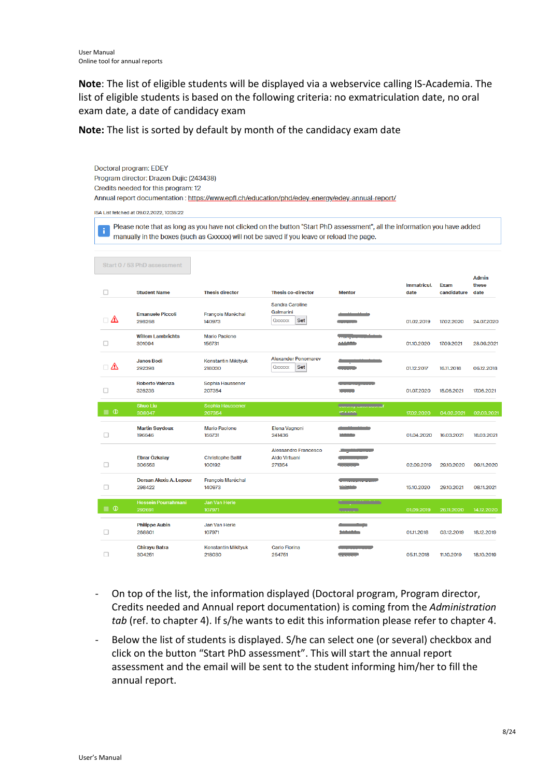**Note**: The list of eligible students will be displayed via a webservice calling IS-Academia. The list of eligible students is based on the following criteria: no exmatriculation date, no oral exam date, a date of candidacy exam

**Note:** The list is sorted by default by month of the candidacy exam date

|                    | Doctoral program: EDEY<br>Program director: Drazen Dujic (243438)<br>Credits needed for this program: 12<br>Annual report documentation: https://www.epfl.ch/education/phd/edey-energy/edey-annual-report/             |                                      |                                                        |                                                                                                                                                                                                                                                       |                            |                            |                               |
|--------------------|------------------------------------------------------------------------------------------------------------------------------------------------------------------------------------------------------------------------|--------------------------------------|--------------------------------------------------------|-------------------------------------------------------------------------------------------------------------------------------------------------------------------------------------------------------------------------------------------------------|----------------------------|----------------------------|-------------------------------|
|                    | ISA List fetched at 09.02.2022, 10:35:22                                                                                                                                                                               |                                      |                                                        |                                                                                                                                                                                                                                                       |                            |                            |                               |
| ÷                  | Please note that as long as you have not clicked on the button "Start PhD assessment", all the information you have added<br>manually in the boxes (such as Gxxxxx) will not be saved if you leave or reload the page. |                                      |                                                        |                                                                                                                                                                                                                                                       |                            |                            |                               |
|                    | Start 0 / 53 PhD assessment                                                                                                                                                                                            |                                      |                                                        |                                                                                                                                                                                                                                                       |                            |                            |                               |
| □                  | <b>Student Name</b>                                                                                                                                                                                                    | <b>Thesis director</b>               | <b>Thesis co-director</b>                              | <b>Mentor</b>                                                                                                                                                                                                                                         | <b>Immatricul.</b><br>date | <b>Exam</b><br>candidature | <b>Admin</b><br>these<br>date |
| $\Box$ $\Lambda$   | <b>Emanuele Piccoli</b><br>298268                                                                                                                                                                                      | <b>François Maréchal</b><br>140973   | <b>Sandra Caroline</b><br>Galmarini<br>GXXXXX<br>Set   | and the state of the                                                                                                                                                                                                                                  | 01.02.2019                 | 17.02.2020                 | 24.07.2020                    |
| □                  | <b>Willem Lambrichts</b><br>301094                                                                                                                                                                                     | <b>Mario Paolone</b><br>156731       |                                                        | <b>Transport Committee</b><br>مستحمله                                                                                                                                                                                                                 | 01.10.2020                 | 17.09.2021                 | 28.09.2021                    |
| $\sqcap$ $\Lambda$ | <b>Janos Bodi</b><br>292398                                                                                                                                                                                            | Konstantin Mikityuk<br>218030        | <b>Alexander Ponomarev</b><br>Set<br>Gxxxxx            |                                                                                                                                                                                                                                                       | 01.12.2017                 | 16.11.2018                 | 06.12.2018                    |
| □                  | <b>Roberto Valenza</b><br>326238                                                                                                                                                                                       | Sophia Haussener<br>207354           |                                                        | <b>Continued and Continued State</b><br>t e santi                                                                                                                                                                                                     | 01.07.2020                 | 15.06.2021                 | 17.06.2021                    |
| $\Box$ 0           | <b>Shuo Liu</b><br>308047                                                                                                                                                                                              | Sophia Haussener<br>207354           |                                                        | <b>UDIOINT LUNGIOUGHI</b><br>104400                                                                                                                                                                                                                   | 17.02.2020                 | 04.02.2021                 | 02.03.2021                    |
| п                  | <b>Martin Seydoux</b><br>196646                                                                                                                                                                                        | <b>Mario Paolone</b><br>156731       | Elena Vagnoni<br>241436                                | المناقص المتناقص<br>.                                                                                                                                                                                                                                 | 01.04.2020                 | 16.03.2021                 | 18.03.2021                    |
| □                  | Ebrar Özkalay<br>306553                                                                                                                                                                                                | <b>Christophe Ballif</b><br>100192   | <b>Alessandro Francesco</b><br>Aldo Virtuani<br>271354 | the company of the company of the                                                                                                                                                                                                                     | 02.09.2019                 | 29.10.2020                 | 09.11.2020                    |
| □                  | <b>Dorsan Alexis A. Lepour</b><br>298422                                                                                                                                                                               | François Maréchal<br>140973          |                                                        | <b>Continued by Continued By Continued By Continued By Continued By Continued By Continued By Continued By Continued By Continued By Continued By Continued By Continued By Continued By Continued By Continued By Continued By </b><br><b>LOCALE</b> | 15.10.2020                 | 29.10.2021                 | 08.11.2021                    |
| $\Box$ 0           | Hossein Pourrahmani<br>292691                                                                                                                                                                                          | Jan Van Herle<br>107971              |                                                        | <u> Geografiski inform</u><br><b>CONTRACTOR</b>                                                                                                                                                                                                       | 01.09.2019                 | 26.11.2020                 | 14.12.2020                    |
| □                  | <b>Philippe Aubin</b><br>268801                                                                                                                                                                                        | Jan Van Herle<br>107971              |                                                        | <u> Andrew Marine</u>                                                                                                                                                                                                                                 | 01.11.2018                 | 03.12.2019                 | 18.12.2019                    |
| □                  | <b>Chirayu Batra</b><br>304251                                                                                                                                                                                         | <b>Konstantin Mikityuk</b><br>218030 | <b>Carlo Fiorina</b><br>254751                         | <b>Contract Contract Contract</b><br><b>Continued by American</b>                                                                                                                                                                                     | 05.11.2018                 | 11.10.2019                 | 18.10.2019                    |

- On top of the list, the information displayed (Doctoral program, Program director, Credits needed and Annual report documentation) is coming from the *Administration tab* (ref. to chapter 4). If s/he wants to edit this information please refer to chapter 4.
- Below the list of students is displayed. S/he can select one (or several) checkbox and click on the button "Start PhD assessment". This will start the annual report assessment and the email will be sent to the student informing him/her to fill the annual report.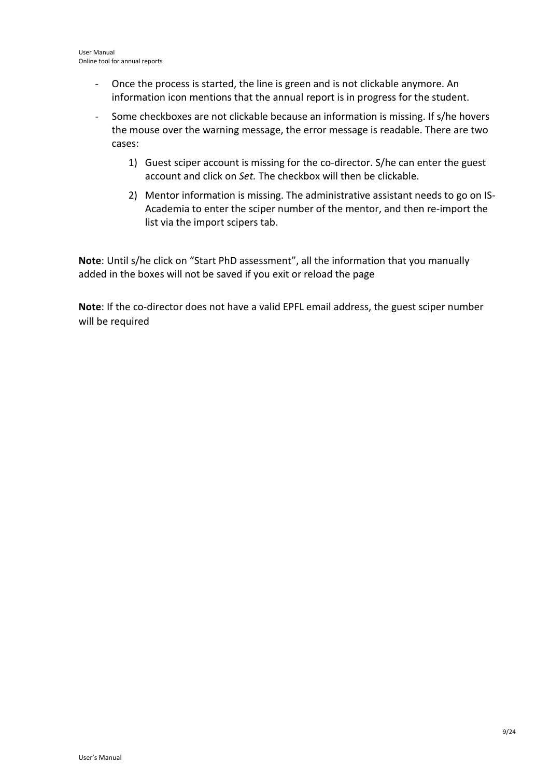- Once the process is started, the line is green and is not clickable anymore. An information icon mentions that the annual report is in progress for the student.
- Some checkboxes are not clickable because an information is missing. If s/he hovers the mouse over the warning message, the error message is readable. There are two cases:
	- 1) Guest sciper account is missing for the co-director. S/he can enter the guest account and click on *Set.* The checkbox will then be clickable.
	- 2) Mentor information is missing. The administrative assistant needs to go on IS-Academia to enter the sciper number of the mentor, and then re-import the list via the import scipers tab.

**Note**: Until s/he click on "Start PhD assessment", all the information that you manually added in the boxes will not be saved if you exit or reload the page

**Note**: If the co-director does not have a valid EPFL email address, the guest sciper number will be required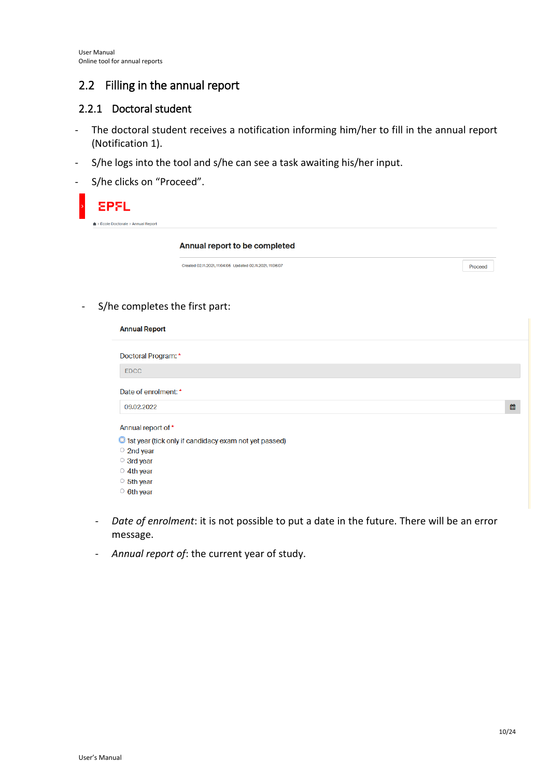## <span id="page-9-0"></span>2.2 Filling in the annual report

### <span id="page-9-1"></span>2.2.1 Doctoral student

- The doctoral student receives a notification informing him/her to fill in the annual report (Notification 1).
- S/he logs into the tool and s/he can see a task awaiting his/her input.
- S/he clicks on "Proceed".

| <b>EPFL</b>                         |                                                           |         |
|-------------------------------------|-----------------------------------------------------------|---------|
| ▲ > École Doctorale > Annual Report |                                                           |         |
|                                     | Annual report to be completed                             |         |
|                                     | Created 02.11.2021, 11:04:05 Updated 02.11.2021, 11:06:07 | Proceed |

- S/he completes the first part:

| Doctoral Program: *                                            |  |   |
|----------------------------------------------------------------|--|---|
| <b>EDCC</b>                                                    |  |   |
| Date of enrolment: *                                           |  |   |
| 09.02.2022                                                     |  | 雦 |
| Annual report of *                                             |  |   |
| <b>O</b> 1st year (tick only if candidacy exam not yet passed) |  |   |
| $\circ$ 2nd year                                               |  |   |
| $\circ$ 3rd year                                               |  |   |
| $\circ$ 4th year                                               |  |   |
|                                                                |  |   |
| ○ 5th year                                                     |  |   |

- *Date of enrolment*: it is not possible to put a date in the future. There will be an error message.
- *Annual report of*: the current year of study.

L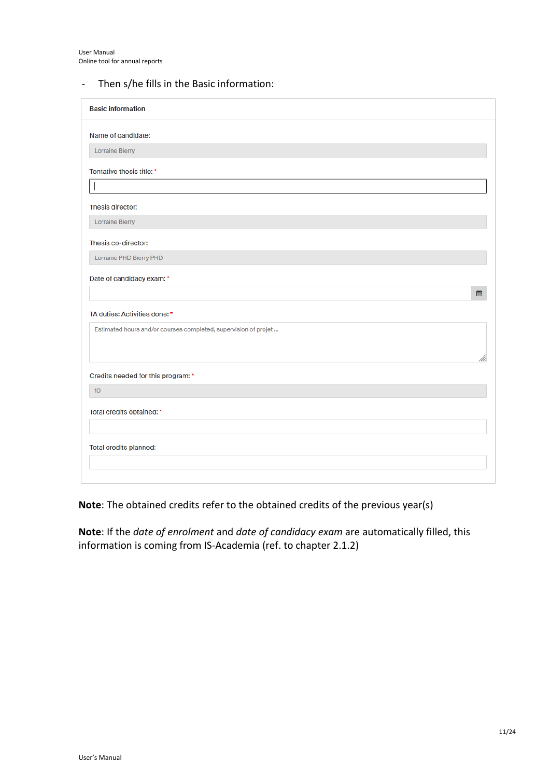|  |  |  |  |  |  |  | Then s/he fills in the Basic information: |
|--|--|--|--|--|--|--|-------------------------------------------|
|--|--|--|--|--|--|--|-------------------------------------------|

| <b>Basic information</b>                                        |
|-----------------------------------------------------------------|
| Name of candidate:                                              |
| Lorraine Bierry                                                 |
| Tentative thesis title: *                                       |
|                                                                 |
| Thesis director:                                                |
| Lorraine Bierry                                                 |
| Thesis co-director:                                             |
| Lorraine PHD Bierry PHD                                         |
| Date of candidacy exam: *                                       |
| 雦                                                               |
| TA duties: Activities done: *                                   |
| Estimated hours and/or courses completed, supervision of projet |
|                                                                 |
|                                                                 |
| Credits needed for this program: *                              |
| 10 <sup>°</sup>                                                 |
| Total credits obtained: *                                       |
|                                                                 |
| Total credits planned:                                          |
|                                                                 |
|                                                                 |

**Note**: The obtained credits refer to the obtained credits of the previous year(s)

**Note**: If the *date of enrolment* and *date of candidacy exam* are automatically filled, this information is coming from IS-Academia (ref. to chapter 2.1.2)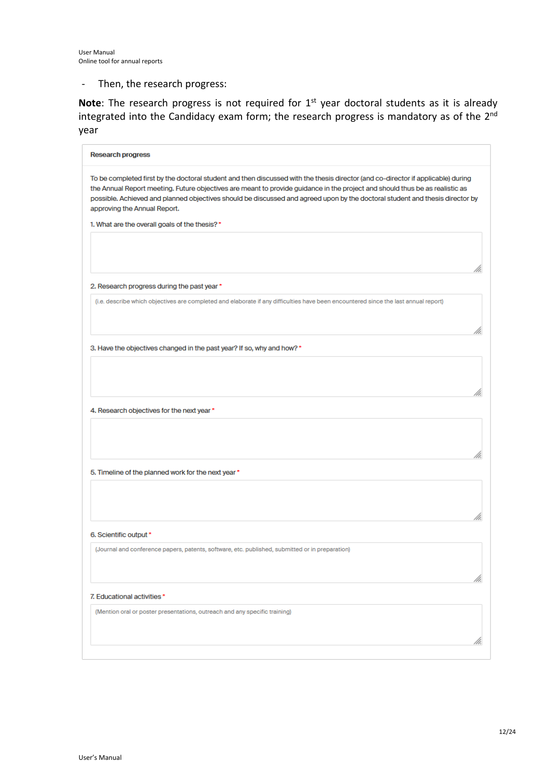- Then, the research progress:

Note: The research progress is not required for 1<sup>st</sup> year doctoral students as it is already integrated into the Candidacy exam form; the research progress is mandatory as of the 2<sup>nd</sup> year

| <b>Research progress</b>                                                                                                                                                                                                                                                                                                                                                                                                                                                          |
|-----------------------------------------------------------------------------------------------------------------------------------------------------------------------------------------------------------------------------------------------------------------------------------------------------------------------------------------------------------------------------------------------------------------------------------------------------------------------------------|
| To be completed first by the doctoral student and then discussed with the thesis director (and co-director if applicable) during<br>the Annual Report meeting. Future objectives are meant to provide guidance in the project and should thus be as realistic as<br>possible. Achieved and planned objectives should be discussed and agreed upon by the doctoral student and thesis director by<br>approving the Annual Report.<br>1. What are the overall goals of the thesis?* |
|                                                                                                                                                                                                                                                                                                                                                                                                                                                                                   |
| 2. Research progress during the past year *                                                                                                                                                                                                                                                                                                                                                                                                                                       |
| (i.e. describe which objectives are completed and elaborate if any difficulties have been encountered since the last annual report)                                                                                                                                                                                                                                                                                                                                               |
| 3. Have the objectives changed in the past year? If so, why and how? *                                                                                                                                                                                                                                                                                                                                                                                                            |
|                                                                                                                                                                                                                                                                                                                                                                                                                                                                                   |
| 4. Research objectives for the next year *                                                                                                                                                                                                                                                                                                                                                                                                                                        |
|                                                                                                                                                                                                                                                                                                                                                                                                                                                                                   |
| 5. Timeline of the planned work for the next year *                                                                                                                                                                                                                                                                                                                                                                                                                               |
|                                                                                                                                                                                                                                                                                                                                                                                                                                                                                   |
| 6. Scientific output *                                                                                                                                                                                                                                                                                                                                                                                                                                                            |
| (Journal and conference papers, patents, software, etc. published, submitted or in preparation)                                                                                                                                                                                                                                                                                                                                                                                   |
| 7. Educational activities*                                                                                                                                                                                                                                                                                                                                                                                                                                                        |
| (Mention oral or poster presentations, outreach and any specific training)                                                                                                                                                                                                                                                                                                                                                                                                        |
|                                                                                                                                                                                                                                                                                                                                                                                                                                                                                   |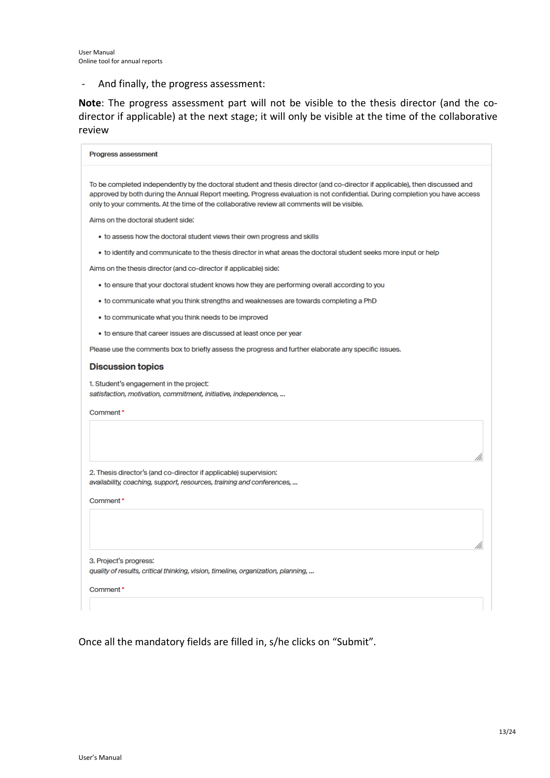- And finally, the progress assessment:

**Note**: The progress assessment part will not be visible to the thesis director (and the codirector if applicable) at the next stage; it will only be visible at the time of the collaborative review

| <b>Progress assessment</b>                                                                                                                                                                                                                                                                                                                                     |
|----------------------------------------------------------------------------------------------------------------------------------------------------------------------------------------------------------------------------------------------------------------------------------------------------------------------------------------------------------------|
| To be completed independently by the doctoral student and thesis director (and co-director if applicable), then discussed and<br>approved by both during the Annual Report meeting. Progress evaluation is not confidential. During completion you have access<br>only to your comments. At the time of the collaborative review all comments will be visible. |
| Aims on the doctoral student side:                                                                                                                                                                                                                                                                                                                             |
| • to assess how the doctoral student views their own progress and skills                                                                                                                                                                                                                                                                                       |
| . to identify and communicate to the thesis director in what areas the doctoral student seeks more input or help                                                                                                                                                                                                                                               |
| Aims on the thesis director (and co-director if applicable) side:                                                                                                                                                                                                                                                                                              |
| • to ensure that your doctoral student knows how they are performing overall according to you                                                                                                                                                                                                                                                                  |
| • to communicate what you think strengths and weaknesses are towards completing a PhD                                                                                                                                                                                                                                                                          |
| • to communicate what you think needs to be improved                                                                                                                                                                                                                                                                                                           |
| • to ensure that career issues are discussed at least once per year                                                                                                                                                                                                                                                                                            |
| Please use the comments box to briefly assess the progress and further elaborate any specific issues.                                                                                                                                                                                                                                                          |
| <b>Discussion topics</b>                                                                                                                                                                                                                                                                                                                                       |
| 1. Student's engagement in the project:<br>satisfaction, motivation, commitment, initiative, independence,                                                                                                                                                                                                                                                     |
| Comment*                                                                                                                                                                                                                                                                                                                                                       |
|                                                                                                                                                                                                                                                                                                                                                                |
| 2. Thesis director's (and co-director if applicable) supervision:<br>availability, coaching, support, resources, training and conferences,                                                                                                                                                                                                                     |
| Comment*                                                                                                                                                                                                                                                                                                                                                       |
|                                                                                                                                                                                                                                                                                                                                                                |
| 3. Project's progress:<br>quality of results, critical thinking, vision, timeline, organization, planning,                                                                                                                                                                                                                                                     |
| Comment*                                                                                                                                                                                                                                                                                                                                                       |
|                                                                                                                                                                                                                                                                                                                                                                |

Once all the mandatory fields are filled in, s/he clicks on "Submit".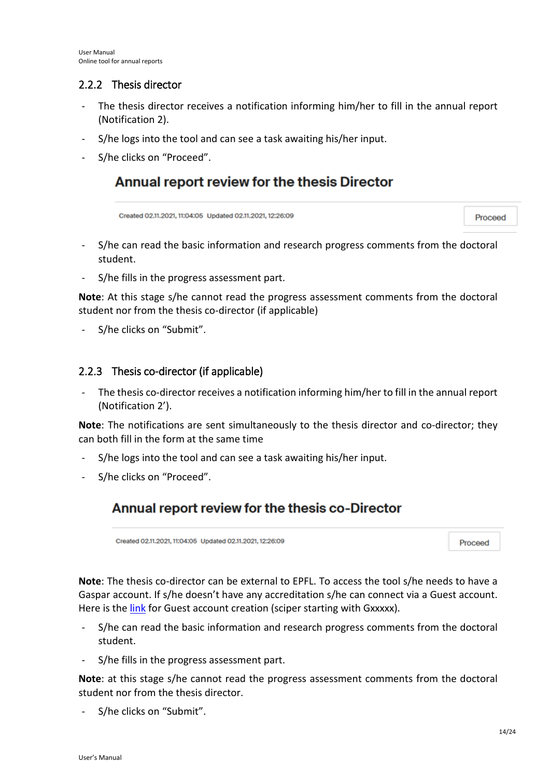### <span id="page-13-0"></span>2.2.2 Thesis director

- The thesis director receives a notification informing him/her to fill in the annual report (Notification 2).
- S/he logs into the tool and can see a task awaiting his/her input.
- S/he clicks on "Proceed".

## Annual report review for the thesis Director

Created 02.11.2021, 11:04:05 Updated 02.11.2021, 12:26:09

Proceed

- S/he can read the basic information and research progress comments from the doctoral student.
- S/he fills in the progress assessment part.

**Note**: At this stage s/he cannot read the progress assessment comments from the doctoral student nor from the thesis co-director (if applicable)

S/he clicks on "Submit".

### <span id="page-13-1"></span>2.2.3 Thesis co-director (if applicable)

The thesis co-director receives a notification informing him/her to fill in the annual report (Notification 2').

**Note**: The notifications are sent simultaneously to the thesis director and co-director; they can both fill in the form at the same time

- S/he logs into the tool and can see a task awaiting his/her input.
- S/he clicks on "Proceed".

## Annual report review for the thesis co-Director

Created 02.11.2021, 11:04:05 Updated 02.11.2021, 12:26:09

Proceed

**Note**: The thesis co-director can be external to EPFL. To access the tool s/he needs to have a Gaspar account. If s/he doesn't have any accreditation s/he can connect via a Guest account. Here is the [link](https://guests.epfl.ch/) for Guest account creation (sciper starting with Gxxxxx).

- S/he can read the basic information and research progress comments from the doctoral student.
- S/he fills in the progress assessment part.

**Note**: at this stage s/he cannot read the progress assessment comments from the doctoral student nor from the thesis director.

S/he clicks on "Submit".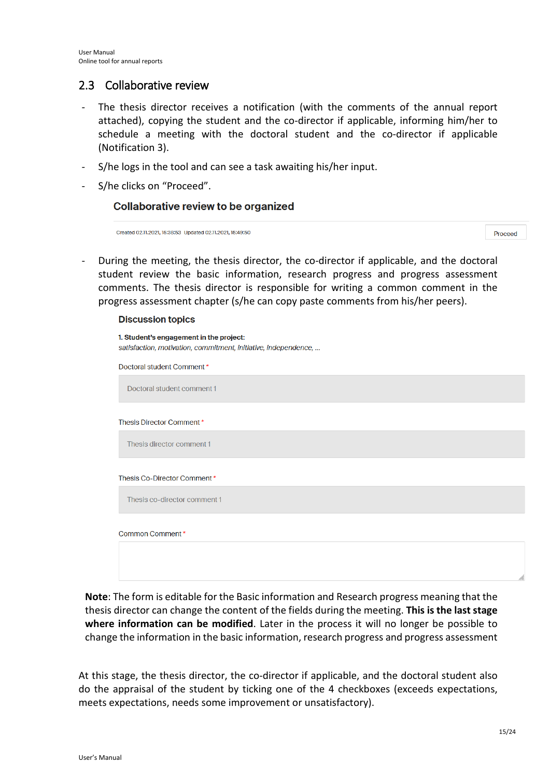### <span id="page-14-0"></span>2.3 Collaborative review

- The thesis director receives a notification (with the comments of the annual report attached), copying the student and the co-director if applicable, informing him/her to schedule a meeting with the doctoral student and the co-director if applicable (Notification 3).
- S/he logs in the tool and can see a task awaiting his/her input.
- S/he clicks on "Proceed".

#### Collaborative review to be organized

```
Created 02.11.2021, 15:38:53 Undated 02.11.2021, 15:49:50
```
Proceed

During the meeting, the thesis director, the co-director if applicable, and the doctoral student review the basic information, research progress and progress assessment comments. The thesis director is responsible for writing a common comment in the progress assessment chapter (s/he can copy paste comments from his/her peers).

#### **Discussion topics**

| 1. Student's engagement in the project:<br>satisfaction, motivation, commitment, initiative, independence, |
|------------------------------------------------------------------------------------------------------------|
| Doctoral student Comment*                                                                                  |
| Doctoral student comment 1                                                                                 |
| Thesis Director Comment*                                                                                   |
| Thesis director comment 1                                                                                  |
| Thesis Co-Director Comment*                                                                                |
| Thesis co-director comment 1                                                                               |
| Common Comment*                                                                                            |
|                                                                                                            |

**Note**: The form is editable for the Basic information and Research progress meaning that the thesis director can change the content of the fields during the meeting. **This is the last stage where information can be modified**. Later in the process it will no longer be possible to change the information in the basic information, research progress and progress assessment

At this stage, the thesis director, the co-director if applicable, and the doctoral student also do the appraisal of the student by ticking one of the 4 checkboxes (exceeds expectations, meets expectations, needs some improvement or unsatisfactory).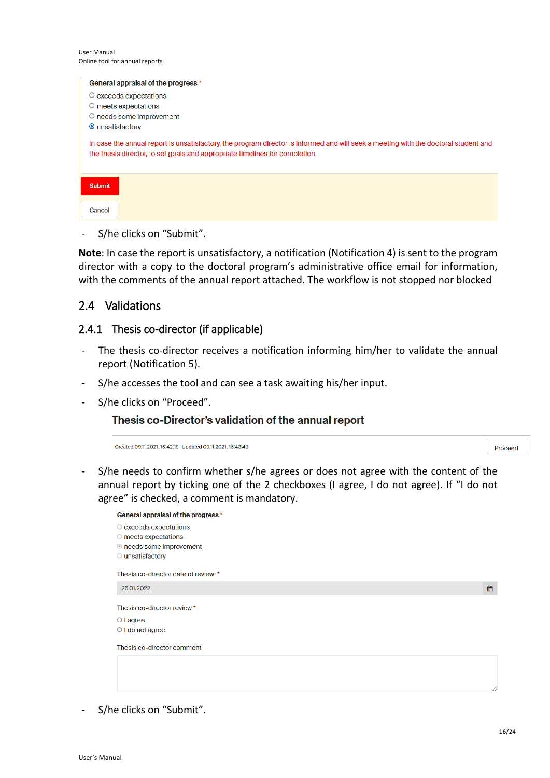User Manual Online tool for annual reports

| General appraisal of the progress *                                                                                                                                                                                |
|--------------------------------------------------------------------------------------------------------------------------------------------------------------------------------------------------------------------|
| $\circ$ exceeds expectations                                                                                                                                                                                       |
| $\circ$ meets expectations                                                                                                                                                                                         |
| ○ needs some improvement                                                                                                                                                                                           |
| ● unsatisfactory                                                                                                                                                                                                   |
| In case the annual report is unsatisfactory, the program director is informed and will seek a meeting with the doctoral student and<br>the thesis director, to set goals and appropriate timelines for completion. |
| <b>Submit</b>                                                                                                                                                                                                      |
| Cancel                                                                                                                                                                                                             |

- S/he clicks on "Submit".

**Note**: In case the report is unsatisfactory, a notification (Notification 4) is sent to the program director with a copy to the doctoral program's administrative office email for information, with the comments of the annual report attached. The workflow is not stopped nor blocked

### <span id="page-15-0"></span>2.4 Validations

### <span id="page-15-1"></span>2.4.1 Thesis co-director (if applicable)

- The thesis co-director receives a notification informing him/her to validate the annual report (Notification 5).
- S/he accesses the tool and can see a task awaiting his/her input.
- S/he clicks on "Proceed".

### Thesis co-Director's validation of the annual report

Created 09.11.2021, 16:42:18 Updated 09.11.2021, 16:43:48

Proceed

- S/he needs to confirm whether s/he agrees or does not agree with the content of the annual report by ticking one of the 2 checkboxes (I agree, I do not agree). If "I do not agree" is checked, a comment is mandatory.

| General appraisal of the progress *  |   |
|--------------------------------------|---|
| $\circ$ exceeds expectations         |   |
| $\circ$ meets expectations           |   |
| ● needs some improvement             |   |
| O unsatisfactory                     |   |
| Thesis co-director date of review: * |   |
| 26.01.2022                           | 雦 |
| Thesis co-director review *          |   |
| $\circ$ I agree                      |   |
| $\bigcirc$ I do not agree            |   |
| Thesis co-director comment           |   |
|                                      |   |
|                                      |   |
|                                      |   |
|                                      |   |

- S/he clicks on "Submit".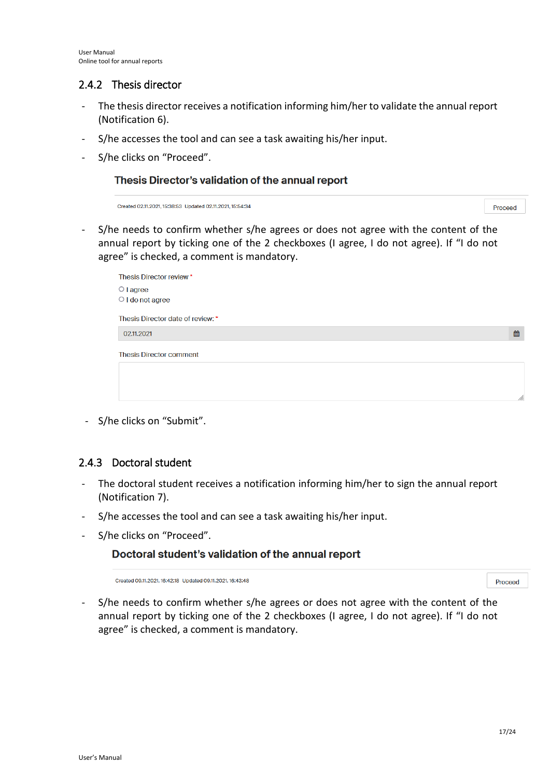### <span id="page-16-0"></span>2.4.2 Thesis director

- The thesis director receives a notification informing him/her to validate the annual report (Notification 6).
- S/he accesses the tool and can see a task awaiting his/her input.
- S/he clicks on "Proceed".

#### Thesis Director's validation of the annual report

Created 02.11.2021, 15:38:53 Updated 02.11.2021, 15:54:34

Proceed

論

- S/he needs to confirm whether s/he agrees or does not agree with the content of the annual report by ticking one of the 2 checkboxes (I agree, I do not agree). If "I do not agree" is checked, a comment is mandatory.

| Thesis Director review *                  |
|-------------------------------------------|
| $\circ$ I agree<br>$\circ$ I do not agree |
|                                           |
| Thesis Director date of review: *         |
| 02.11.2021                                |
| <b>Thesis Director comment</b>            |
|                                           |

- S/he clicks on "Submit".

### <span id="page-16-1"></span>2.4.3 Doctoral student

- The doctoral student receives a notification informing him/her to sign the annual report (Notification 7).
- S/he accesses the tool and can see a task awaiting his/her input.
- S/he clicks on "Proceed".

### Doctoral student's validation of the annual report

Created 09.11.2021, 16:42:18 Updated 09.11.2021, 16:43:48

Proceed

- S/he needs to confirm whether s/he agrees or does not agree with the content of the annual report by ticking one of the 2 checkboxes (I agree, I do not agree). If "I do not agree" is checked, a comment is mandatory.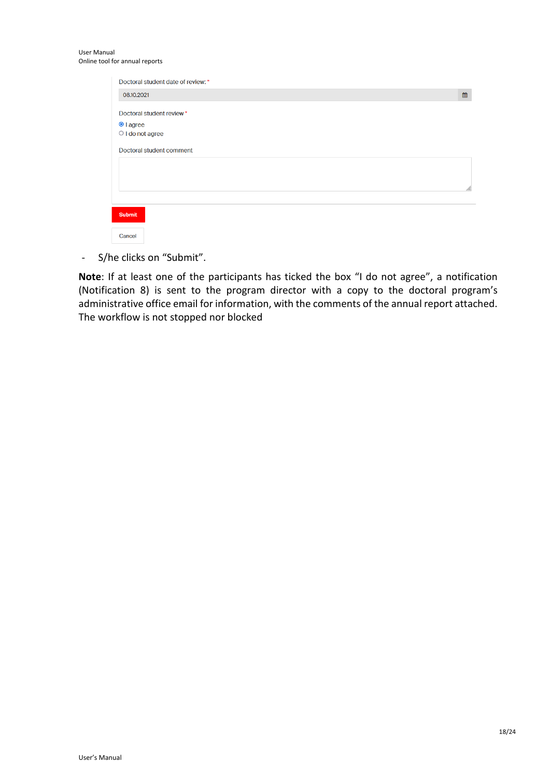| Doctoral student date of review: * |     |
|------------------------------------|-----|
| 08.10.2021                         | 雦   |
| Doctoral student review*           |     |
| <sup>●</sup> I agree               |     |
| $\bigcirc$ I do not agree          |     |
| Doctoral student comment           |     |
|                                    |     |
|                                    | /1. |
|                                    |     |
| <b>Submit</b>                      |     |
| Cancel                             |     |

- S/he clicks on "Submit".

**Note**: If at least one of the participants has ticked the box "I do not agree", a notification (Notification 8) is sent to the program director with a copy to the doctoral program's administrative office email for information, with the comments of the annual report attached. The workflow is not stopped nor blocked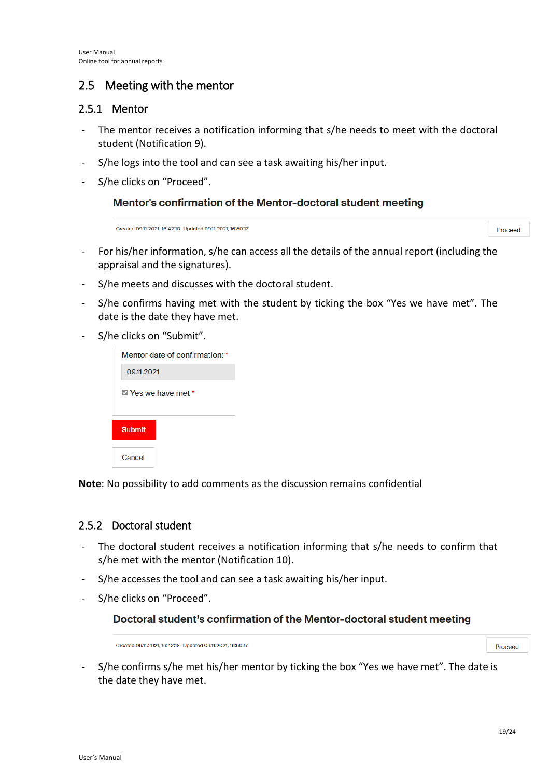## <span id="page-18-0"></span>2.5 Meeting with the mentor

### <span id="page-18-1"></span>2.5.1 Mentor

- The mentor receives a notification informing that s/he needs to meet with the doctoral student (Notification 9).
- S/he logs into the tool and can see a task awaiting his/her input.
- S/he clicks on "Proceed".

### Mentor's confirmation of the Mentor-doctoral student meeting

Created 09.11.2021, 16:42:18 Updated 09.11.2021, 16:50:17

- For his/her information, s/he can access all the details of the annual report (including the appraisal and the signatures).
- S/he meets and discusses with the doctoral student.
- S/he confirms having met with the student by ticking the box "Yes we have met". The date is the date they have met.
- S/he clicks on "Submit".

| Mentor date of confirmation: * |  |  |  |  |  |
|--------------------------------|--|--|--|--|--|
| 09.11.2021                     |  |  |  |  |  |
| $\vee$ Yes we have met *       |  |  |  |  |  |
| <b>Submit</b>                  |  |  |  |  |  |
| Cancel                         |  |  |  |  |  |

**Note**: No possibility to add comments as the discussion remains confidential

### <span id="page-18-2"></span>2.5.2 Doctoral student

- The doctoral student receives a notification informing that s/he needs to confirm that s/he met with the mentor (Notification 10).
- S/he accesses the tool and can see a task awaiting his/her input.
- S/he clicks on "Proceed".

### Doctoral student's confirmation of the Mentor-doctoral student meeting

Created 0911 2021 16:42:18 Undated 0911 2021 16:50:17

Proceed

Proceed

S/he confirms s/he met his/her mentor by ticking the box "Yes we have met". The date is the date they have met.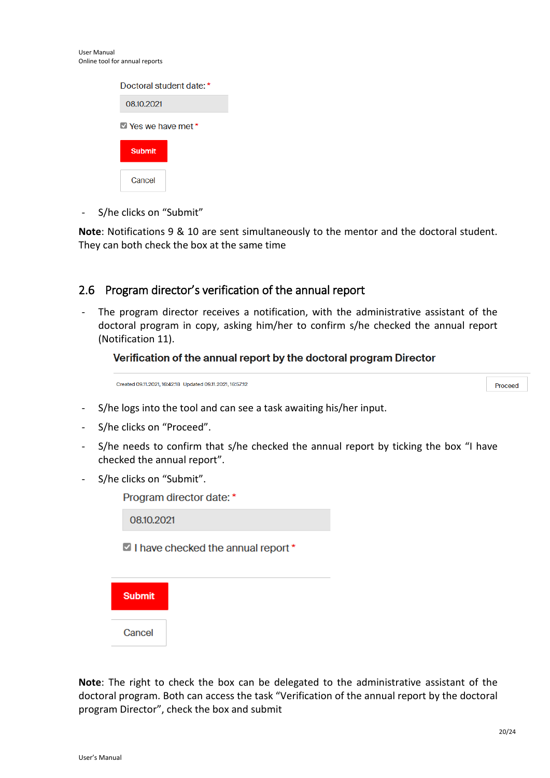User Manual

Online tool for annual reports

- The program director receives a notification, with the administrative assistant of the doctoral program in copy, asking him/her to confirm s/he checked the annual report (Notification 11).

**Note**: Notifications 9 & 10 are sent simultaneously to the mentor and the doctoral student.

### Verification of the annual report by the doctoral program Director

Created 09.11.2021, 16:42:18 Updated 09.11.2021, 16:57:12

<span id="page-19-0"></span>They can both check the box at the same time

Proceed

- S/he logs into the tool and can see a task awaiting his/her input.
- S/he clicks on "Proceed".

- S/he clicks on "Submit"

Doctoral student date: \*

 $\blacksquare$  Yes we have met \*

08.10.2021

**Submit** 

Cancel

- S/he needs to confirm that s/he checked the annual report by ticking the box "I have checked the annual report".
- S/he clicks on "Submit".

Program director date: \*

08.10.2021

I have checked the annual report\*



**Note**: The right to check the box can be delegated to the administrative assistant of the doctoral program. Both can access the task "Verification of the annual report by the doctoral program Director", check the box and submit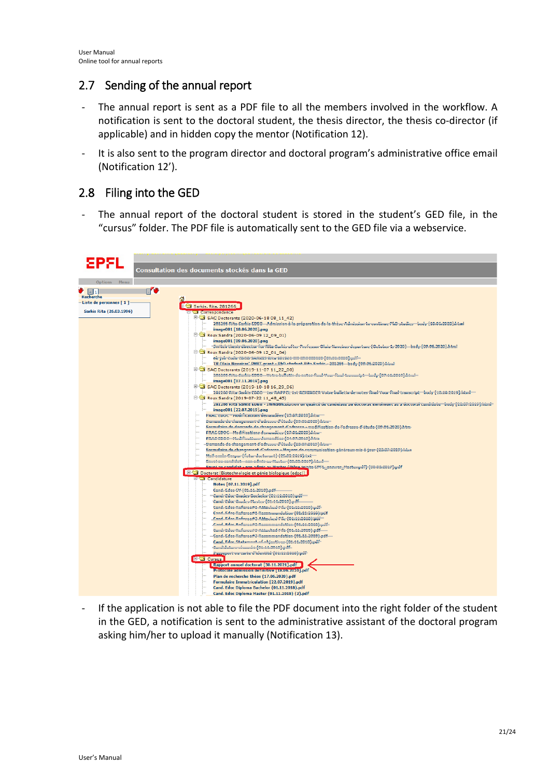## <span id="page-20-0"></span>2.7 Sending of the annual report

- The annual report is sent as a PDF file to all the members involved in the workflow. A notification is sent to the doctoral student, the thesis director, the thesis co-director (if applicable) and in hidden copy the mentor (Notification 12).
- It is also sent to the program director and doctoral program's administrative office email (Notification 12').

## <span id="page-20-1"></span>2.8 Filing into the GED

The annual report of the doctoral student is stored in the student's GED file, in the "cursus" folder. The PDF file is automatically sent to the GED file via a webservice.



If the application is not able to file the PDF document into the right folder of the student in the GED, a notification is sent to the administrative assistant of the doctoral program asking him/her to upload it manually (Notification 13).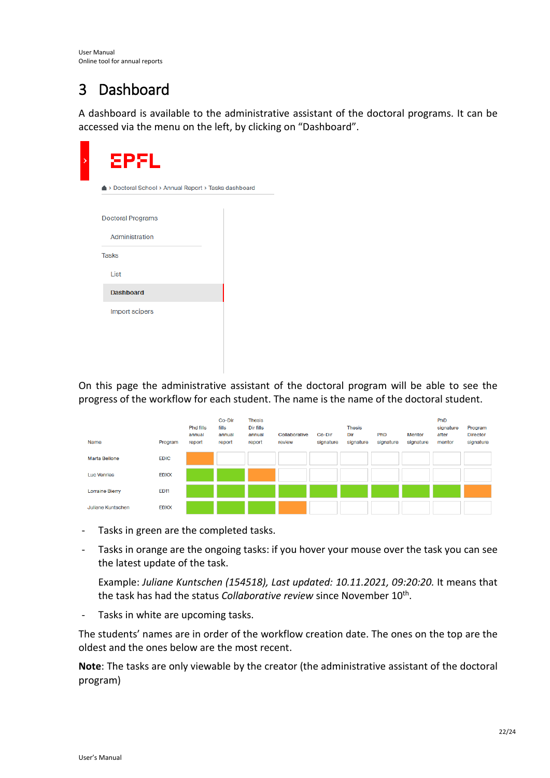# <span id="page-21-0"></span>3 Dashboard

A dashboard is available to the administrative assistant of the doctoral programs. It can be accessed via the menu on the left, by clicking on "Dashboard".

| ▲ > Doctoral School > Annual Report > Tasks dashboard |  |
|-------------------------------------------------------|--|
|                                                       |  |
| <b>Doctoral Programs</b>                              |  |
| Administration                                        |  |
| <b>Tasks</b>                                          |  |
| List                                                  |  |
| <b>Dashboard</b>                                      |  |
| Import scipers                                        |  |

On this page the administrative assistant of the doctoral program will be able to see the progress of the workflow for each student. The name is the name of the doctoral student.

| Name                   | Program     | <b>Phd fills</b><br>annual<br>report | Co-Dir<br>fills<br>annual<br>report | <b>Thesis</b><br>Dir fills<br>annual<br>report | Collaborative<br>review | Co-Dir<br>signature | <b>Thesis</b><br>Dir<br>signature | PhD<br>signature | <b>Mentor</b><br>signature | <b>PhD</b><br>signature<br>after<br>mentor | Program<br><b>Director</b><br>signature |
|------------------------|-------------|--------------------------------------|-------------------------------------|------------------------------------------------|-------------------------|---------------------|-----------------------------------|------------------|----------------------------|--------------------------------------------|-----------------------------------------|
| <b>Marta Bellone</b>   | <b>EDIC</b> |                                      |                                     |                                                |                         |                     |                                   |                  |                            |                                            |                                         |
| <b>Luc Venries</b>     | <b>EDXX</b> |                                      |                                     |                                                |                         |                     |                                   |                  |                            |                                            |                                         |
| <b>Lorraine Bierry</b> | <b>ED11</b> |                                      |                                     |                                                |                         |                     |                                   |                  |                            |                                            |                                         |
| Juliane Kuntschen      | <b>EDXX</b> |                                      |                                     |                                                |                         |                     |                                   |                  |                            |                                            |                                         |

- Tasks in green are the completed tasks.
- Tasks in orange are the ongoing tasks: if you hover your mouse over the task you can see the latest update of the task.

Example: *Juliane Kuntschen (154518), Last updated: 10.11.2021, 09:20:20.* It means that the task has had the status *Collaborative review* since November 10th.

- Tasks in white are upcoming tasks.

The students' names are in order of the workflow creation date. The ones on the top are the oldest and the ones below are the most recent.

**Note**: The tasks are only viewable by the creator (the administrative assistant of the doctoral program)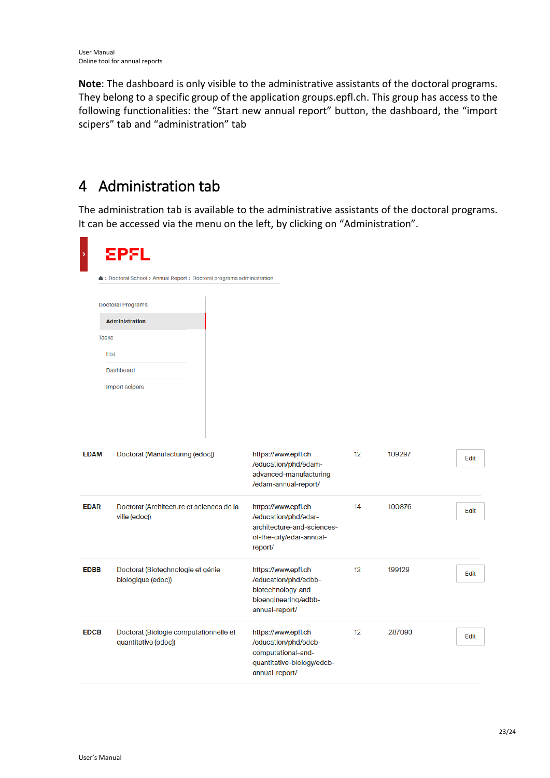$\equiv$ 

**Note**: The dashboard is only visible to the administrative assistants of the doctoral programs. They belong to a specific group of the application groups.epfl.ch. This group has access to the following functionalities: the "Start new annual report" button, the dashboard, the "import scipers" tab and "administration" tab

# <span id="page-22-0"></span>4 Administration tab

The administration tab is available to the administrative assistants of the doctoral programs. It can be accessed via the menu on the left, by clicking on "Administration".

| <b>EPFL</b>                                                                   |                                                                                                                   |                                                                        |        |      |
|-------------------------------------------------------------------------------|-------------------------------------------------------------------------------------------------------------------|------------------------------------------------------------------------|--------|------|
| <b>Doctoral Programs</b>                                                      |                                                                                                                   |                                                                        |        |      |
| <b>Tasks</b><br>List<br>Dashboard<br>Import scipers                           |                                                                                                                   |                                                                        |        |      |
| <b>EDAM</b><br>Doctorat (Manufacturing (edoc))                                | https://www.epfl.ch<br>/education/phd/edam-<br>advanced-manufacturing<br>/edam-annual-report/                     | 12                                                                     | 109297 | Edit |
| <b>EDAR</b><br>Doctorat (Architecture et sciences de la<br>ville (edoc))      | https://www.epfl.ch<br>/education/phd/edar-<br>architecture-and-sciences-<br>of-the-city/edar-annual-<br>report/  | 14                                                                     | 100876 | Edit |
| <b>EDBB</b><br>Doctorat (Biotechnologie et génie<br>biologique (edoc))        | https://www.epfl.ch<br>/education/phd/edbb-<br>biotechnology-and-<br>bioengineering/edbb-<br>annual-report/       | 12                                                                     | 199129 | Edit |
| <b>EDCB</b><br>Doctorat (Biologie computationnelle et<br>quantitative (edoc)) | https://www.epfl.ch<br>/education/phd/edcb-<br>computational-and-<br>quantitative-biology/edcb-<br>annual-report/ | 12                                                                     | 287093 | Edit |
|                                                                               | <b>Administration</b>                                                                                             | ▲ > Doctoral School > Annual Report > Doctoral programs administration |        |      |